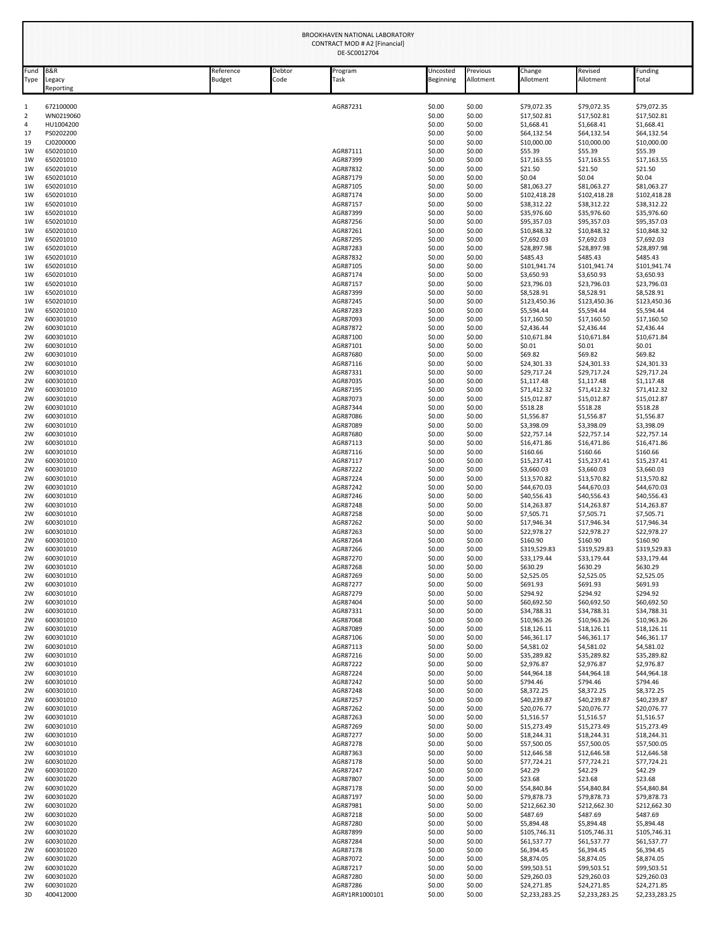|                     | BROOKHAVEN NATIONAL LABORATORY<br>CONTRACT MOD # A2 [Financial]<br>DE-SC0012704 |                     |                |                      |                       |                       |                             |                             |                             |  |
|---------------------|---------------------------------------------------------------------------------|---------------------|----------------|----------------------|-----------------------|-----------------------|-----------------------------|-----------------------------|-----------------------------|--|
| Fund<br>Type        | <b>B&amp;R</b><br>Legacy<br>Reporting                                           | Reference<br>Budget | Debtor<br>Code | Program<br>Task      | Uncosted<br>Beginning | Previous<br>Allotment | Change<br>Allotment         | Revised<br>Allotment        | Funding<br>Total            |  |
| $\mathbf{1}$        | 672100000                                                                       |                     |                | AGR87231             | \$0.00                | \$0.00                | \$79,072.35                 | \$79,072.35                 | \$79,072.35                 |  |
| $\overline{2}$<br>4 | WN0219060<br>HU1004200                                                          |                     |                |                      | \$0.00<br>\$0.00      | \$0.00<br>\$0.00      | \$17,502.81<br>\$1,668.41   | \$17,502.81<br>\$1,668.41   | \$17,502.81<br>\$1,668.41   |  |
| 17                  | PS0202200                                                                       |                     |                |                      | \$0.00                | \$0.00                | \$64,132.54                 | \$64,132.54                 | \$64,132.54                 |  |
| 19                  | CJ0200000                                                                       |                     |                |                      | \$0.00                | \$0.00                | \$10,000.00                 | \$10,000.00                 | \$10,000.00                 |  |
| 1W<br>1W            | 650201010<br>650201010                                                          |                     |                | AGR87111<br>AGR87399 | \$0.00<br>\$0.00      | \$0.00<br>\$0.00      | \$55.39<br>\$17,163.55      | \$55.39<br>\$17,163.55      | \$55.39<br>\$17,163.55      |  |
| 1W                  | 650201010                                                                       |                     |                | AGR87832             | \$0.00                | \$0.00                | \$21.50                     | \$21.50                     | \$21.50                     |  |
| 1W                  | 650201010                                                                       |                     |                | AGR87179             | \$0.00                | \$0.00                | \$0.04                      | \$0.04                      | \$0.04                      |  |
| 1W<br>1W            | 650201010<br>650201010                                                          |                     |                | AGR87105<br>AGR87174 | \$0.00<br>\$0.00      | \$0.00<br>\$0.00      | \$81,063.27<br>\$102,418.28 | \$81,063.27<br>\$102,418.28 | \$81,063.27<br>\$102,418.28 |  |
| 1W                  | 650201010                                                                       |                     |                | AGR87157             | \$0.00                | \$0.00                | \$38,312.22                 | \$38,312.22                 | \$38,312.22                 |  |
| 1W                  | 650201010                                                                       |                     |                | AGR87399             | \$0.00                | \$0.00                | \$35,976.60                 | \$35,976.60                 | \$35,976.60                 |  |
| 1W<br>1W            | 650201010<br>650201010                                                          |                     |                | AGR87256<br>AGR87261 | \$0.00<br>\$0.00      | \$0.00<br>\$0.00      | \$95,357.03<br>\$10,848.32  | \$95,357.03<br>\$10,848.32  | \$95,357.03<br>\$10,848.32  |  |
| 1W                  | 650201010                                                                       |                     |                | AGR87295             | \$0.00                | \$0.00                | \$7,692.03                  | \$7,692.03                  | \$7,692.03                  |  |
| 1W                  | 650201010                                                                       |                     |                | AGR87283<br>AGR87832 | \$0.00                | \$0.00                | \$28,897.98                 | \$28,897.98                 | \$28,897.98                 |  |
| 1W<br>1W            | 650201010<br>650201010                                                          |                     |                | AGR87105             | \$0.00<br>\$0.00      | \$0.00<br>\$0.00      | \$485.43<br>\$101,941.74    | \$485.43<br>\$101,941.74    | \$485.43<br>\$101,941.74    |  |
| 1W                  | 650201010                                                                       |                     |                | AGR87174             | \$0.00                | \$0.00                | \$3,650.93                  | \$3,650.93                  | \$3,650.93                  |  |
| 1W<br>1W            | 650201010                                                                       |                     |                | AGR87157<br>AGR87399 | \$0.00                | \$0.00                | \$23,796.03                 | \$23,796.03                 | \$23,796.03                 |  |
| 1W                  | 650201010<br>650201010                                                          |                     |                | AGR87245             | \$0.00<br>\$0.00      | \$0.00<br>\$0.00      | \$8,528.91<br>\$123,450.36  | \$8,528.91<br>\$123,450.36  | \$8,528.91<br>\$123,450.36  |  |
| 1W                  | 650201010                                                                       |                     |                | AGR87283             | \$0.00                | \$0.00                | \$5,594.44                  | \$5,594.44                  | \$5,594.44                  |  |
| 2W                  | 600301010<br>600301010                                                          |                     |                | AGR87093             | \$0.00                | \$0.00                | \$17,160.50                 | \$17,160.50                 | \$17,160.50                 |  |
| 2W<br>2W            | 600301010                                                                       |                     |                | AGR87872<br>AGR87100 | \$0.00<br>\$0.00      | \$0.00<br>\$0.00      | \$2,436.44<br>\$10,671.84   | \$2,436.44<br>\$10,671.84   | \$2,436.44<br>\$10,671.84   |  |
| 2W                  | 600301010                                                                       |                     |                | AGR87101             | \$0.00                | \$0.00                | \$0.01                      | \$0.01                      | \$0.01                      |  |
| 2W                  | 600301010                                                                       |                     |                | AGR87680             | \$0.00                | \$0.00                | \$69.82                     | \$69.82<br>\$24,301.33      | \$69.82                     |  |
| 2W<br>2W            | 600301010<br>600301010                                                          |                     |                | AGR87116<br>AGR87331 | \$0.00<br>\$0.00      | \$0.00<br>\$0.00      | \$24,301.33<br>\$29,717.24  | \$29,717.24                 | \$24,301.33<br>\$29,717.24  |  |
| 2W                  | 600301010                                                                       |                     |                | AGR87035             | \$0.00                | \$0.00                | \$1,117.48                  | \$1,117.48                  | \$1,117.48                  |  |
| 2W                  | 600301010                                                                       |                     |                | AGR87195             | \$0.00                | \$0.00                | \$71,412.32                 | \$71,412.32                 | \$71,412.32                 |  |
| 2W<br>2W            | 600301010<br>600301010                                                          |                     |                | AGR87073<br>AGR87344 | \$0.00<br>\$0.00      | \$0.00<br>\$0.00      | \$15,012.87<br>\$518.28     | \$15,012.87<br>\$518.28     | \$15,012.87<br>\$518.28     |  |
| 2W                  | 600301010                                                                       |                     |                | AGR87086             | \$0.00                | \$0.00                | \$1,556.87                  | \$1,556.87                  | \$1,556.87                  |  |
| 2W<br>2W            | 600301010<br>600301010                                                          |                     |                | AGR87089<br>AGR87680 | \$0.00<br>\$0.00      | \$0.00<br>\$0.00      | \$3,398.09<br>\$22,757.14   | \$3,398.09<br>\$22,757.14   | \$3,398.09<br>\$22,757.14   |  |
| 2W                  | 600301010                                                                       |                     |                | AGR87113             | \$0.00                | \$0.00                | \$16,471.86                 | \$16,471.86                 | \$16,471.86                 |  |
| 2W                  | 600301010                                                                       |                     |                | AGR87116             | \$0.00                | \$0.00                | \$160.66                    | \$160.66                    | \$160.66                    |  |
| 2W<br>2W            | 600301010<br>600301010                                                          |                     |                | AGR87117<br>AGR87222 | \$0.00<br>\$0.00      | \$0.00<br>\$0.00      | \$15,237.41<br>\$3,660.03   | \$15,237.41<br>\$3,660.03   | \$15,237.41<br>\$3,660.03   |  |
| 2W                  | 600301010                                                                       |                     |                | AGR87224             | \$0.00                | \$0.00                | \$13,570.82                 | \$13,570.82                 | \$13,570.82                 |  |
| 2W                  | 600301010                                                                       |                     |                | AGR87242             | \$0.00                | \$0.00                | \$44,670.03                 | \$44,670.03                 | \$44,670.03                 |  |
| 2W                  | 600301010<br>600301010                                                          |                     |                | AGR87246<br>AGR87248 | \$0.00<br>\$0.00      | \$0.00<br>\$0.00      | \$40,556.43<br>\$14,263.87  | \$40,556.43<br>\$14,263.87  | \$40,556.43<br>\$14,263.87  |  |
| 2W<br>2W            | 600301010                                                                       |                     |                | AGR87258             | \$0.00                | \$0.00                | \$7,505.71                  | \$7,505.71                  | \$7,505.71                  |  |
| 2W                  | 600301010                                                                       |                     |                | AGR87262             | \$0.00                | \$0.00                | \$17,946.34                 | \$17,946.34                 | \$17,946.34                 |  |
| 2W<br>2W            | 600301010<br>600301010                                                          |                     |                | AGR87263<br>AGR87264 | \$0.00<br>\$0.00      | \$0.00<br>\$0.00      | \$22,978.27<br>\$160.90     | \$22,978.27<br>\$160.90     | \$22,978.27<br>\$160.90     |  |
| 2W                  | 600301010                                                                       |                     |                | AGR87266             | \$0.00                | \$0.00                | \$319,529.83                | \$319,529.83                | \$319,529.83                |  |
| 2W                  | 600301010                                                                       |                     |                | AGR87270             | \$0.00                | \$0.00                | \$33,179.44                 | \$33,179.44                 | \$33,179.44                 |  |
| 2W<br>2W            | 600301010<br>600301010                                                          |                     |                | AGR87268<br>AGR87269 | \$0.00<br>\$0.00      | \$0.00<br>\$0.00      | \$630.29<br>\$2,525.05      | \$630.29<br>\$2,525.05      | \$630.29<br>\$2,525.05      |  |
| 2W                  | 600301010                                                                       |                     |                | AGR87277             | \$0.00                | \$0.00                | \$691.93                    | \$691.93                    | \$691.93                    |  |
| 2W                  | 600301010                                                                       |                     |                | AGR87279             | \$0.00                | \$0.00                | \$294.92                    | \$294.92                    | \$294.92                    |  |
| 2W<br>2W            | 600301010<br>600301010                                                          |                     |                | AGR87404<br>AGR87331 | \$0.00<br>\$0.00      | \$0.00<br>\$0.00      | \$60,692.50<br>\$34,788.31  | \$60,692.50<br>\$34,788.31  | \$60,692.50<br>\$34,788.31  |  |
| 2W                  | 600301010                                                                       |                     |                | AGR87068             | \$0.00                | \$0.00                | \$10,963.26                 | \$10,963.26                 | \$10,963.26                 |  |
| 2W                  | 600301010                                                                       |                     |                | AGR87089             | \$0.00                | \$0.00                | \$18,126.11                 | \$18,126.11                 | \$18,126.11                 |  |
| 2W<br>2W            | 600301010<br>600301010                                                          |                     |                | AGR87106<br>AGR87113 | \$0.00<br>\$0.00      | \$0.00<br>\$0.00      | \$46,361.17<br>\$4,581.02   | \$46,361.17<br>\$4,581.02   | \$46,361.17<br>\$4,581.02   |  |
| 2W                  | 600301010                                                                       |                     |                | AGR87216             | \$0.00                | \$0.00                | \$35,289.82                 | \$35,289.82                 | \$35,289.82                 |  |
| 2W                  | 600301010                                                                       |                     |                | AGR87222             | \$0.00                | \$0.00                | \$2,976.87                  | \$2,976.87                  | \$2,976.87                  |  |
| 2W<br>2W            | 600301010<br>600301010                                                          |                     |                | AGR87224<br>AGR87242 | \$0.00<br>\$0.00      | \$0.00<br>\$0.00      | \$44,964.18<br>\$794.46     | \$44,964.18<br>\$794.46     | \$44,964.18<br>\$794.46     |  |
| 2W                  | 600301010                                                                       |                     |                | AGR87248             | \$0.00                | \$0.00                | \$8,372.25                  | \$8,372.25                  | \$8,372.25                  |  |
| 2W                  | 600301010                                                                       |                     |                | AGR87257             | \$0.00                | \$0.00                | \$40,239.87                 | \$40,239.87                 | \$40,239.87                 |  |
| 2W<br>2W            | 600301010<br>600301010                                                          |                     |                | AGR87262<br>AGR87263 | \$0.00<br>\$0.00      | \$0.00<br>\$0.00      | \$20,076.77<br>\$1,516.57   | \$20,076.77<br>\$1,516.57   | \$20,076.77<br>\$1,516.57   |  |
| 2W                  | 600301010                                                                       |                     |                | AGR87269             | \$0.00                | \$0.00                | \$15,273.49                 | \$15,273.49                 | \$15,273.49                 |  |
| 2W                  | 600301010<br>600301010                                                          |                     |                | AGR87277<br>AGR87278 | \$0.00<br>\$0.00      | \$0.00<br>\$0.00      | \$18,244.31<br>\$57,500.05  | \$18,244.31<br>\$57,500.05  | \$18,244.31<br>\$57,500.05  |  |
| 2W<br>2W            | 600301010                                                                       |                     |                | AGR87363             | \$0.00                | \$0.00                | \$12,646.58                 | \$12,646.58                 | \$12,646.58                 |  |
| 2W                  | 600301020                                                                       |                     |                | AGR87178             | \$0.00                | \$0.00                | \$77,724.21                 | \$77,724.21                 | \$77,724.21                 |  |
| 2W<br>2W            | 600301020<br>600301020                                                          |                     |                | AGR87247<br>AGR87807 | \$0.00<br>\$0.00      | \$0.00<br>\$0.00      | \$42.29<br>\$23.68          | \$42.29<br>\$23.68          | \$42.29<br>\$23.68          |  |
| 2W                  | 600301020                                                                       |                     |                | AGR87178             | \$0.00                | \$0.00                | \$54,840.84                 | \$54,840.84                 | \$54,840.84                 |  |
| 2W                  | 600301020                                                                       |                     |                | AGR87197             | \$0.00                | \$0.00                | \$79,878.73                 | \$79,878.73                 | \$79,878.73                 |  |
| 2W                  | 600301020                                                                       |                     |                | AGR87981             | \$0.00                | \$0.00                | \$212,662.30                | \$212,662.30                | \$212,662.30                |  |
| 2W<br>2W            | 600301020<br>600301020                                                          |                     |                | AGR87218<br>AGR87280 | \$0.00<br>\$0.00      | \$0.00<br>\$0.00      | \$487.69<br>\$5,894.48      | \$487.69<br>\$5,894.48      | \$487.69<br>\$5,894.48      |  |
| 2W                  | 600301020                                                                       |                     |                | AGR87899             | \$0.00                | \$0.00                | \$105,746.31                | \$105,746.31                | \$105,746.31                |  |
| 2W                  | 600301020                                                                       |                     |                | AGR87284             | \$0.00                | \$0.00                | \$61,537.77                 | \$61,537.77                 | \$61,537.77                 |  |
| 2W<br>2W            | 600301020<br>600301020                                                          |                     |                | AGR87178<br>AGR87072 | \$0.00<br>\$0.00      | \$0.00<br>\$0.00      | \$6,394.45<br>\$8,874.05    | \$6,394.45<br>\$8,874.05    | \$6,394.45<br>\$8,874.05    |  |
| 2W                  | 600301020                                                                       |                     |                | AGR87217             | \$0.00                | \$0.00                | \$99,503.51                 | \$99,503.51                 | \$99,503.51                 |  |
| 2W<br>2W            | 600301020<br>600301020                                                          |                     |                | AGR87280<br>AGR87286 | \$0.00                | \$0.00<br>\$0.00      | \$29,260.03<br>\$24,271.85  | \$29,260.03<br>\$24,271.85  | \$29,260.03<br>\$24,271.85  |  |
| 3D                  | 400412000                                                                       |                     |                | AGRY1RR1000101       | \$0.00<br>\$0.00      | \$0.00                | \$2,233,283.25              | \$2,233,283.25              | \$2,233,283.25              |  |
|                     |                                                                                 |                     |                |                      |                       |                       |                             |                             |                             |  |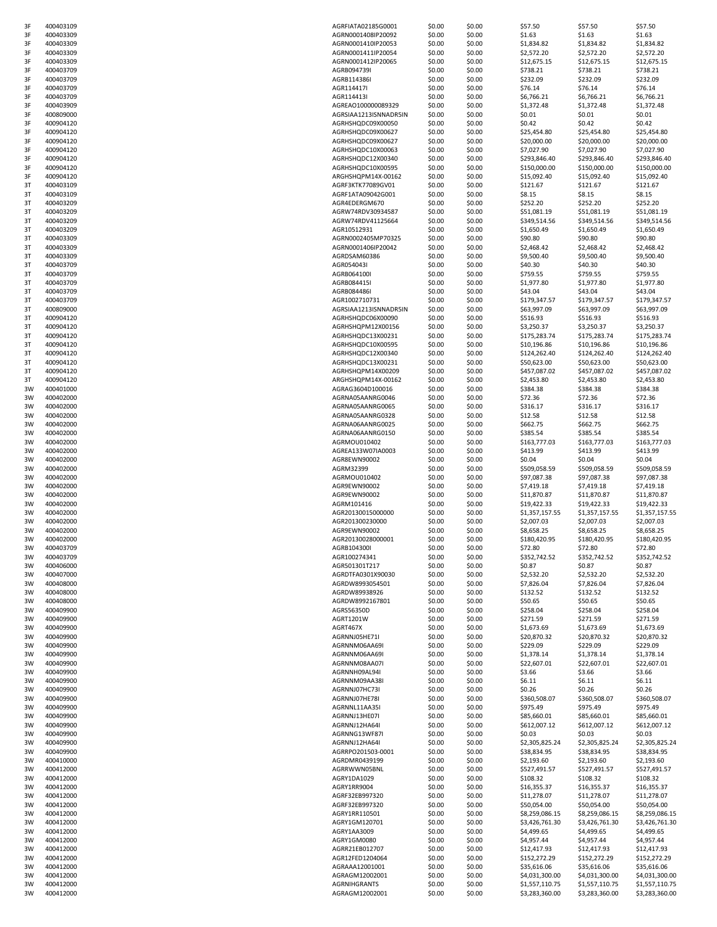| 3F | 400403109 | AGRFIATA02185G0001    | \$0.00 | \$0.00 | \$57.50        | \$57.50        | \$57.50        |
|----|-----------|-----------------------|--------|--------|----------------|----------------|----------------|
| 3F | 400403309 | AGRN0001408IP20092    | \$0.00 | \$0.00 | \$1.63         | \$1.63         | \$1.63         |
| 3F | 400403309 | AGRN0001410IP20053    | \$0.00 | \$0.00 | \$1,834.82     | \$1,834.82     | \$1,834.82     |
| 3F | 400403309 | AGRN0001411IP20054    | \$0.00 | \$0.00 | \$2,572.20     | \$2,572.20     | \$2,572.20     |
| 3F | 400403309 | AGRN0001412IP20065    | \$0.00 | \$0.00 | \$12,675.15    | \$12,675.15    | \$12,675.15    |
| 3F | 400403709 | AGRB094739I           | \$0.00 | \$0.00 | \$738.21       | \$738.21       | \$738.21       |
| 3F | 400403709 |                       |        |        | \$232.09       |                | \$232.09       |
|    |           | AGRB114386I           | \$0.00 | \$0.00 |                | \$232.09       |                |
| 3F | 400403709 | AGR114417I            | \$0.00 | \$0.00 | \$76.14        | \$76.14        | \$76.14        |
| 3F | 400403709 | AGR114413I            | \$0.00 | \$0.00 | \$6,766.21     | \$6,766.21     | \$6,766.21     |
| 3F | 400403909 | AGREAO100000089329    | \$0.00 | \$0.00 | \$1,372.48     | \$1,372.48     | \$1,372.48     |
| 3F | 400809000 | AGRSIAA1213ISNNADR5IN | \$0.00 | \$0.00 | \$0.01         | \$0.01         | \$0.01         |
| 3F | 400904120 | AGRHSHQDC09X00050     | \$0.00 | \$0.00 | \$0.42         | \$0.42         | \$0.42         |
| 3F | 400904120 | AGRHSHQDC09X00627     | \$0.00 | \$0.00 | \$25,454.80    | \$25,454.80    | \$25,454.80    |
|    |           |                       |        |        |                |                |                |
| 3F | 400904120 | AGRHSHQDC09X00627     | \$0.00 | \$0.00 | \$20,000.00    | \$20,000.00    | \$20,000.00    |
| 3F | 400904120 | AGRHSHQDC10X00063     | \$0.00 | \$0.00 | \$7,027.90     | \$7,027.90     | \$7,027.90     |
| 3F | 400904120 | AGRHSHQDC12X00340     | \$0.00 | \$0.00 | \$293,846.40   | \$293,846.40   | \$293,846.40   |
| 3F | 400904120 | AGRHSHQDC10X00595     | \$0.00 | \$0.00 | \$150,000.00   | \$150,000.00   | \$150,000.00   |
| 3F | 400904120 | ARGHSHQPM14X-00162    | \$0.00 | \$0.00 | \$15,092.40    | \$15,092.40    | \$15,092.40    |
| 3T | 400403109 | AGRF3KTK77089GV01     | \$0.00 | \$0.00 | \$121.67       | \$121.67       | \$121.67       |
|    |           |                       |        |        |                |                |                |
| 3T | 400403109 | AGRF1ATA09042G001     | \$0.00 | \$0.00 | \$8.15         | \$8.15         | \$8.15         |
| 3T | 400403209 | AGR4EDERGM670         | \$0.00 | \$0.00 | \$252.20       | \$252.20       | \$252.20       |
| 3T | 400403209 | AGRW74RDV30934587     | \$0.00 | \$0.00 | \$51,081.19    | \$51,081.19    | \$51,081.19    |
| 3T | 400403209 | AGRW74RDV41125664     | \$0.00 | \$0.00 | \$349,514.56   | \$349,514.56   | \$349,514.56   |
| 3T | 400403209 | AGR10512931           | \$0.00 | \$0.00 | \$1,650.49     | \$1,650.49     | \$1,650.49     |
| 3T | 400403309 | AGRN0002405MP70325    | \$0.00 | \$0.00 | \$90.80        | \$90.80        | \$90.80        |
|    |           |                       |        |        |                |                |                |
| 3T | 400403309 | AGRN0001406IP20042    | \$0.00 | \$0.00 | \$2,468.42     | \$2,468.42     | \$2,468.42     |
| 3T | 400403309 | AGRDSAM60386          | \$0.00 | \$0.00 | \$9,500.40     | \$9,500.40     | \$9,500.40     |
| 3T | 400403709 | AGR054043I            | \$0.00 | \$0.00 | \$40.30        | \$40.30        | \$40.30        |
| 3T | 400403709 | AGRB064100I           | \$0.00 | \$0.00 | \$759.55       | \$759.55       | \$759.55       |
| 3T | 400403709 | AGRB084415I           | \$0.00 | \$0.00 | \$1,977.80     | \$1,977.80     | \$1,977.80     |
| 3T | 400403709 | AGRB084486I           | \$0.00 | \$0.00 | \$43.04        | \$43.04        | \$43.04        |
| 3T | 400403709 | AGR1002710731         | \$0.00 | \$0.00 | \$179,347.57   | \$179,347.57   | \$179,347.57   |
|    |           |                       |        |        |                |                |                |
| 3T | 400809000 | AGRSIAA1213ISNNADR5IN | \$0.00 | \$0.00 | \$63,997.09    | \$63,997.09    | \$63,997.09    |
| 3T | 400904120 | AGRHSHQDC06X00090     | \$0.00 | \$0.00 | \$516.93       | \$516.93       | \$516.93       |
| 3T | 400904120 | AGRHSHQPM12X00156     | \$0.00 | \$0.00 | \$3,250.37     | \$3,250.37     | \$3,250.37     |
| 3T | 400904120 | AGRHSHQDC13X00231     | \$0.00 | \$0.00 | \$175,283.74   | \$175,283.74   | \$175,283.74   |
| 3T | 400904120 | AGRHSHQDC10X00595     | \$0.00 | \$0.00 | \$10,196.86    | \$10,196.86    | \$10,196.86    |
| 3T | 400904120 | AGRHSHQDC12X00340     | \$0.00 |        | \$124,262.40   |                |                |
|    |           |                       |        | \$0.00 |                | \$124,262.40   | \$124,262.40   |
| 3T | 400904120 | AGRHSHQDC13X00231     | \$0.00 | \$0.00 | \$50,623.00    | \$50,623.00    | \$50,623.00    |
| 3T | 400904120 | AGRHSHQPM14X00209     | \$0.00 | \$0.00 | \$457,087.02   | \$457,087.02   | \$457,087.02   |
| 3T | 400904120 | ARGHSHQPM14X-00162    | \$0.00 | \$0.00 | \$2,453.80     | \$2,453.80     | \$2,453.80     |
| 3W | 400401000 | AGRAG3604D100016      | \$0.00 | \$0.00 | \$384.38       | \$384.38       | \$384.38       |
| 3W | 400402000 | AGRNA05AANRG0046      | \$0.00 | \$0.00 | \$72.36        | \$72.36        | \$72.36        |
| 3W | 400402000 |                       | \$0.00 |        |                |                |                |
|    |           | AGRNA05AANRG0065      |        | \$0.00 | \$316.17       | \$316.17       | \$316.17       |
| 3W | 400402000 | AGRNA05AANRG0328      | \$0.00 | \$0.00 | \$12.58        | \$12.58        | \$12.58        |
| 3W | 400402000 | AGRNA06AANRG0025      | \$0.00 | \$0.00 | \$662.75       | \$662.75       | \$662.75       |
| 3W | 400402000 | AGRNA06AANRG0150      | \$0.00 | \$0.00 | \$385.54       | \$385.54       | \$385.54       |
| 3W | 400402000 | AGRMOU010402          | \$0.00 | \$0.00 | \$163,777.03   | \$163,777.03   | \$163,777.03   |
| 3W | 400402000 | AGREA133W07IA0003     | \$0.00 | \$0.00 | \$413.99       | \$413.99       | \$413.99       |
| 3W | 400402000 | AGR8EWN90002          | \$0.00 | \$0.00 | \$0.04         | \$0.04         | \$0.04         |
|    |           |                       |        |        |                |                |                |
| 3W | 400402000 | AGRM32399             | \$0.00 | \$0.00 | \$509,058.59   | \$509,058.59   | \$509,058.59   |
| 3W | 400402000 | AGRMOU010402          | \$0.00 | \$0.00 | \$97,087.38    | \$97,087.38    | \$97,087.38    |
| 3W | 400402000 | AGR9EWN90002          | \$0.00 | \$0.00 | \$7,419.18     | \$7,419.18     | \$7,419.18     |
| 3W | 400402000 | AGR9EWN90002          | \$0.00 | \$0.00 | \$11,870.87    | \$11,870.87    | \$11,870.87    |
| 3W | 400402000 | AGRM101416            | \$0.00 | \$0.00 | \$19,422.33    | \$19,422.33    | \$19,422.33    |
| 3W | 400402000 | AGR20130015000000     | \$0.00 | \$0.00 | \$1,357,157.55 |                |                |
|    |           |                       |        |        |                | \$1,357,157.55 | \$1,357,157.55 |
| 3W | 400402000 | AGR201300230000       | \$0.00 | \$0.00 | \$2,007.03     | \$2,007.03     | \$2,007.03     |
| 3W | 400402000 | AGR9EWN90002          | \$0.00 | \$0.00 | \$8,658.25     | \$8,658.25     | \$8,658.25     |
| 3W | 400402000 | AGR20130028000001     | \$0.00 | \$0.00 | \$180,420.95   | \$180,420.95   | \$180,420.95   |
| 3W | 400403709 | AGRB104300I           | \$0.00 | \$0.00 | \$72.80        | \$72.80        | \$72.80        |
| 3W | 400403709 | AGR100274341          | \$0.00 | \$0.00 | \$352,742.52   | \$352,742.52   | \$352,742.52   |
| 3W | 400406000 | AGR501301T217         | \$0.00 | \$0.00 | \$0.87         | \$0.87         | \$0.87         |
| 3W | 400407000 | AGRDTFA0301X90030     | \$0.00 | \$0.00 |                |                |                |
|    |           |                       |        |        | \$2,532.20     | \$2,532.20     | \$2,532.20     |
| 3W | 400408000 | AGRDW8993054501       | \$0.00 | \$0.00 | \$7,826.04     | \$7,826.04     | \$7,826.04     |
| 3W | 400408000 | AGRDW89938926         | \$0.00 | \$0.00 | \$132.52       | \$132.52       | \$132.52       |
| 3W | 400408000 | AGRDW8992167801       | \$0.00 | \$0.00 | \$50.65        | \$50.65        | \$50.65        |
| 3W | 400409900 | AGRS56350D            | \$0.00 | \$0.00 | \$258.04       | \$258.04       | \$258.04       |
| 3W | 400409900 | AGRT1201W             | \$0.00 | \$0.00 | \$271.59       | \$271.59       | \$271.59       |
| 3W | 400409900 | AGRT467X              | \$0.00 | \$0.00 | \$1,673.69     | \$1,673.69     | \$1,673.69     |
| 3W | 400409900 | AGRNNJ05HE71I         | \$0.00 | \$0.00 | \$20,870.32    | \$20,870.32    | \$20,870.32    |
|    |           |                       |        |        |                |                |                |
| 3W | 400409900 | AGRNNM06AA69I         | \$0.00 | \$0.00 | \$229.09       | \$229.09       | \$229.09       |
| 3W | 400409900 | AGRNNM06AA69I         | \$0.00 | \$0.00 | \$1,378.14     | \$1,378.14     | \$1,378.14     |
| 3W | 400409900 | AGRNNM08AA07I         | \$0.00 | \$0.00 | \$22,607.01    | \$22,607.01    | \$22,607.01    |
| 3W | 400409900 | AGRNNH09AL94I         | \$0.00 | \$0.00 | \$3.66         | \$3.66         | \$3.66         |
| 3W | 400409900 | AGRNNM09AA38I         | \$0.00 | \$0.00 | \$6.11         | \$6.11         | \$6.11         |
| 3W | 400409900 | AGRNNJ07HC73I         | \$0.00 | \$0.00 | \$0.26         | \$0.26         | \$0.26         |
| 3W | 400409900 | AGRNNJ07HE78I         | \$0.00 | \$0.00 | \$360,508.07   | \$360,508.07   | \$360,508.07   |
|    |           |                       |        |        |                |                |                |
| 3W | 400409900 | AGRNNL11AA35I         | \$0.00 | \$0.00 | \$975.49       | \$975.49       | \$975.49       |
| 3W | 400409900 | AGRNNJ13HE07I         | \$0.00 | \$0.00 | \$85,660.01    | \$85,660.01    | \$85,660.01    |
| 3W | 400409900 | AGRNNJ12HA64I         | \$0.00 | \$0.00 | \$612,007.12   | \$612,007.12   | \$612,007.12   |
| 3W | 400409900 | AGRNNG13WF87I         | \$0.00 | \$0.00 | \$0.03         | \$0.03         | \$0.03         |
| 3W | 400409900 | AGRNNJ12HA64I         | \$0.00 | \$0.00 | \$2,305,825.24 | \$2,305,825.24 | \$2,305,825.24 |
| 3W | 400409900 | AGRRPO201503-0001     | \$0.00 | \$0.00 | \$38,834.95    | \$38,834.95    | \$38,834.95    |
|    |           |                       |        |        |                |                |                |
| 3W | 400410000 | AGRDMR0439199         | \$0.00 | \$0.00 | \$2,193.60     | \$2,193.60     | \$2,193.60     |
| 3W | 400412000 | AGRRWWN05BNL          | \$0.00 | \$0.00 | \$527,491.57   | \$527,491.57   | \$527,491.57   |
| 3W | 400412000 | AGRY1DA1029           | \$0.00 | \$0.00 | \$108.32       | \$108.32       | \$108.32       |
| 3W | 400412000 | AGRY1RR9004           | \$0.00 | \$0.00 | \$16,355.37    | \$16,355.37    | \$16,355.37    |
| 3W | 400412000 | AGRF32EB997320        | \$0.00 | \$0.00 | \$11,278.07    | \$11,278.07    | \$11,278.07    |
|    |           |                       |        |        |                |                |                |
| 3W | 400412000 | AGRF32EB997320        | \$0.00 | \$0.00 | \$50,054.00    | \$50,054.00    | \$50,054.00    |
| 3W | 400412000 | AGRY1RR110501         | \$0.00 | \$0.00 | \$8,259,086.15 | \$8,259,086.15 | \$8,259,086.15 |
| 3W | 400412000 | AGRY1GM120701         | \$0.00 | \$0.00 | \$3,426,761.30 | \$3,426,761.30 | \$3,426,761.30 |
| 3W | 400412000 | AGRY1AA3009           | \$0.00 | \$0.00 | \$4,499.65     | \$4,499.65     | \$4,499.65     |
| 3W | 400412000 | AGRY1GM0080           | \$0.00 | \$0.00 | \$4,957.44     | \$4,957.44     | \$4,957.44     |
| 3W | 400412000 | AGRR21EB012707        | \$0.00 | \$0.00 | \$12,417.93    | \$12,417.93    | \$12,417.93    |
|    |           |                       |        |        |                |                |                |
| 3W | 400412000 | AGR12FED1204064       | \$0.00 | \$0.00 | \$152,272.29   | \$152,272.29   | \$152,272.29   |
| 3W | 400412000 | AGRAAA12001001        | \$0.00 | \$0.00 | \$35,616.06    | \$35,616.06    | \$35,616.06    |
| 3W | 400412000 | AGRAGM12002001        | \$0.00 | \$0.00 | \$4,031,300.00 | \$4,031,300.00 | \$4,031,300.00 |
| 3W | 400412000 | AGRNIHGRANTS          | \$0.00 | \$0.00 | \$1,557,110.75 | \$1,557,110.75 | \$1,557,110.75 |
| 3W | 400412000 | AGRAGM12002001        | \$0.00 | \$0.00 | \$3,283,360.00 | \$3,283,360.00 | \$3,283,360.00 |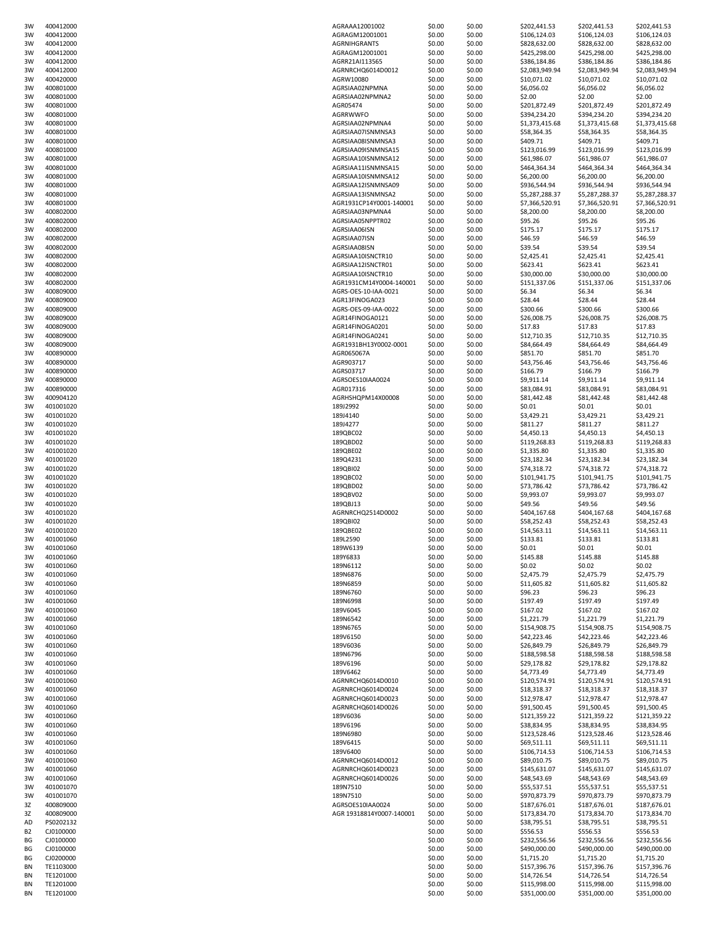| 3W        | 400412000 | AGRAAA12001002           | \$0.00 | \$0.00 | \$202,441.53   | \$202,441.53   | \$202,441.53   |
|-----------|-----------|--------------------------|--------|--------|----------------|----------------|----------------|
| 3W        | 400412000 | AGRAGM12001001           | \$0.00 | \$0.00 | \$106,124.03   | \$106,124.03   | \$106,124.03   |
| 3W        | 400412000 | AGRNIHGRANTS             | \$0.00 | \$0.00 | \$828,632.00   | \$828,632.00   | \$828,632.00   |
| 3W        | 400412000 | AGRAGM12001001           | \$0.00 | \$0.00 | \$425,298.00   | \$425,298.00   | \$425,298.00   |
| 3W        | 400412000 | AGRR21AI113565           | \$0.00 | \$0.00 | \$386,184.86   | \$386,184.86   | \$386,184.86   |
|           |           |                          |        |        |                |                |                |
| 3W        | 400412000 | AGRNRCHQ6014D0012        | \$0.00 | \$0.00 | \$2,083,949.94 | \$2,083,949.94 | \$2,083,949.94 |
| 3W        | 400420000 | AGRW10080                | \$0.00 | \$0.00 | \$10,071.02    | \$10,071.02    | \$10,071.02    |
| 3W        | 400801000 | AGRSIAA02NPMNA           | \$0.00 | \$0.00 | \$6,056.02     | \$6,056.02     | \$6,056.02     |
| 3W        | 400801000 | AGRSIAA02NPMNA2          | \$0.00 | \$0.00 | \$2.00         | \$2.00         | \$2.00         |
| 3W        | 400801000 | AGR05474                 | \$0.00 | \$0.00 | \$201,872.49   | \$201,872.49   | \$201,872.49   |
| 3W        | 400801000 | AGRRWWFO                 | \$0.00 | \$0.00 | \$394,234.20   | \$394,234.20   | \$394,234.20   |
| 3W        | 400801000 | AGRSIAA02NPMNA4          | \$0.00 | \$0.00 | \$1,373,415.68 | \$1,373,415.68 | \$1,373,415.68 |
|           | 400801000 | AGRSIAA07ISNMNSA3        |        |        |                |                |                |
| 3W        |           |                          | \$0.00 | \$0.00 | \$58,364.35    | \$58,364.35    | \$58,364.35    |
| 3W        | 400801000 | AGRSIAA08ISNMNSA3        | \$0.00 | \$0.00 | \$409.71       | \$409.71       | \$409.71       |
| 3W        | 400801000 | AGRSIAA09ISNMNSA15       | \$0.00 | \$0.00 | \$123,016.99   | \$123,016.99   | \$123,016.99   |
| 3W        | 400801000 | AGRSIAA10ISNMNSA12       | \$0.00 | \$0.00 | \$61,986.07    | \$61,986.07    | \$61,986.07    |
| 3W        | 400801000 | AGRSIAA11ISNMNSA15       | \$0.00 | \$0.00 | \$464,364.34   | \$464,364.34   | \$464,364.34   |
| 3W        | 400801000 | AGRSIAA10ISNMNSA12       | \$0.00 | \$0.00 | \$6,200.00     | \$6,200.00     | \$6,200.00     |
| 3W        | 400801000 | AGRSIAA12ISNMNSA09       | \$0.00 | \$0.00 | \$936,544.94   | \$936,544.94   | \$936,544.94   |
| 3W        | 400801000 | AGRSIAA13ISNMNSA2        | \$0.00 | \$0.00 | \$5,287,288.37 | \$5,287,288.37 | \$5,287,288.37 |
|           |           |                          |        |        |                |                |                |
| 3W        | 400801000 | AGR1931CP14Y0001-140001  | \$0.00 | \$0.00 | \$7,366,520.91 | \$7,366,520.91 | \$7,366,520.91 |
| 3W        | 400802000 | AGRSIAA03NPMNA4          | \$0.00 | \$0.00 | \$8,200.00     | \$8,200.00     | \$8,200.00     |
| 3W        | 400802000 | AGRSIAA05NPPTR02         | \$0.00 | \$0.00 | \$95.26        | \$95.26        | \$95.26        |
| 3W        | 400802000 | AGRSIAA06ISN             | \$0.00 | \$0.00 | \$175.17       | \$175.17       | \$175.17       |
| 3W        | 400802000 | AGRSIAA07ISN             | \$0.00 | \$0.00 | \$46.59        | \$46.59        | \$46.59        |
| 3W        | 400802000 | AGRSIAA08ISN             | \$0.00 | \$0.00 | \$39.54        | \$39.54        | \$39.54        |
| 3W        | 400802000 | AGRSIAA10ISNCTR10        | \$0.00 | \$0.00 | \$2,425.41     | \$2,425.41     | \$2,425.41     |
|           | 400802000 |                          |        |        |                |                |                |
| 3W        |           | AGRSIAA12ISNCTR01        | \$0.00 | \$0.00 | \$623.41       | \$623.41       | \$623.41       |
| 3W        | 400802000 | AGRSIAA10ISNCTR10        | \$0.00 | \$0.00 | \$30,000.00    | \$30,000.00    | \$30,000.00    |
| 3W        | 400802000 | AGR1931CM14Y0004-140001  | \$0.00 | \$0.00 | \$151,337.06   | \$151,337.06   | \$151,337.06   |
| 3W        | 400809000 | AGRS-OES-10-IAA-0021     | \$0.00 | \$0.00 | \$6.34         | \$6.34         | \$6.34         |
| 3W        | 400809000 | AGR13FINOGA023           | \$0.00 | \$0.00 | \$28.44        | \$28.44        | \$28.44        |
| 3W        | 400809000 | AGRS-OES-09-IAA-0022     | \$0.00 | \$0.00 | \$300.66       | \$300.66       | \$300.66       |
| 3W        | 400809000 | AGR14FINOGA0121          | \$0.00 | \$0.00 | \$26,008.75    | \$26,008.75    | \$26,008.75    |
|           |           |                          |        |        |                |                |                |
| 3W        | 400809000 | AGR14FINOGA0201          | \$0.00 | \$0.00 | \$17.83        | \$17.83        | \$17.83        |
| 3W        | 400809000 | AGR14FINOGA0241          | \$0.00 | \$0.00 | \$12,710.35    | \$12,710.35    | \$12,710.35    |
| 3W        | 400809000 | AGR1931BH13Y0002-0001    | \$0.00 | \$0.00 | \$84,664.49    | \$84,664.49    | \$84,664.49    |
| 3W        | 400890000 | AGR065067A               | \$0.00 | \$0.00 | \$851.70       | \$851.70       | \$851.70       |
| 3W        | 400890000 | AGR903717                | \$0.00 | \$0.00 | \$43,756.46    | \$43,756.46    | \$43,756.46    |
| 3W        | 400890000 | AGRS03717                | \$0.00 | \$0.00 | \$166.79       | \$166.79       | \$166.79       |
| 3W        | 400890000 | AGRSOES10IAA0024         | \$0.00 | \$0.00 | \$9,911.14     | \$9,911.14     | \$9,911.14     |
| 3W        | 400890000 | AGR017316                | \$0.00 | \$0.00 | \$83,084.91    | \$83,084.91    | \$83,084.91    |
|           |           |                          |        |        |                |                |                |
| 3W        | 400904120 | AGRHSHQPM14X00008        | \$0.00 | \$0.00 | \$81,442.48    | \$81,442.48    | \$81,442.48    |
| 3W        | 401001020 | 189J2992                 | \$0.00 | \$0.00 | \$0.01         | \$0.01         | \$0.01         |
| 3W        | 401001020 | 189J4140                 | \$0.00 | \$0.00 | \$3,429.21     | \$3,429.21     | \$3,429.21     |
| 3W        | 401001020 | 189J4277                 | \$0.00 | \$0.00 | \$811.27       | \$811.27       | \$811.27       |
| 3W        | 401001020 | 189QBC02                 | \$0.00 | \$0.00 | \$4,450.13     | \$4,450.13     | \$4,450.13     |
| 3W        | 401001020 | 189QBD02                 | \$0.00 | \$0.00 | \$119,268.83   | \$119,268.83   | \$119,268.83   |
| 3W        | 401001020 | 189QBE02                 | \$0.00 | \$0.00 | \$1,335.80     | \$1,335.80     | \$1,335.80     |
|           |           |                          |        |        |                |                |                |
| 3W        | 401001020 | 189Q4231                 | \$0.00 | \$0.00 | \$23,182.34    | \$23,182.34    | \$23,182.34    |
| 3W        | 401001020 | 189QBI02                 | \$0.00 | \$0.00 | \$74,318.72    | \$74,318.72    | \$74,318.72    |
| 3W        | 401001020 | 189QBC02                 | \$0.00 | \$0.00 | \$101,941.75   | \$101,941.75   | \$101,941.75   |
| 3W        | 401001020 | 189QBD02                 | \$0.00 | \$0.00 | \$73,786.42    | \$73,786.42    | \$73,786.42    |
| 3W        | 401001020 | 189QBV02                 | \$0.00 | \$0.00 | \$9,993.07     | \$9,993.07     | \$9,993.07     |
| 3W        | 401001020 | 189QBJ13                 | \$0.00 | \$0.00 | \$49.56        | \$49.56        | \$49.56        |
| 3W        | 401001020 | AGRNRCHQ2514D0002        | \$0.00 | \$0.00 | \$404,167.68   | \$404,167.68   | \$404,167.68   |
|           |           |                          |        |        |                |                |                |
| 3W        | 401001020 | 189QBI02                 | \$0.00 | \$0.00 | \$58,252.43    | \$58,252.43    | \$58,252.43    |
| 3W        | 401001020 | 189QBE02                 | \$0.00 | \$0.00 | \$14,563.11    | \$14,563.11    | \$14,563.11    |
| 3W        | 401001060 | 189L2590                 | \$0.00 | \$0.00 | \$133.81       | \$133.81       | \$133.81       |
| 3W        | 401001060 | 189W6139                 | \$0.00 | \$0.00 | \$0.01         | \$0.01         | \$0.01         |
| 3W        | 401001060 | 189Y6833                 | \$0.00 | \$0.00 | \$145.88       | \$145.88       | \$145.88       |
| 3W        | 401001060 | 189N6112                 | \$0.00 | \$0.00 | \$0.02         | \$0.02         | \$0.02         |
| 3W        | 401001060 | 189N6876                 | \$0.00 | \$0.00 | \$2,475.79     | \$2,475.79     | \$2,475.79     |
| 3W        |           | 189N6859                 | \$0.00 |        | \$11,605.82    | \$11,605.82    | \$11,605.82    |
|           | 401001060 |                          |        | \$0.00 |                |                |                |
| 3W        | 401001060 | 189N6760                 | \$0.00 | \$0.00 | \$96.23        | \$96.23        | \$96.23        |
| 3W        | 401001060 | 189N6998                 | \$0.00 | \$0.00 | \$197.49       | \$197.49       | \$197.49       |
| 3W        | 401001060 | 189V6045                 | \$0.00 | \$0.00 | \$167.02       | \$167.02       | \$167.02       |
| 3W        | 401001060 | 189N6542                 | \$0.00 | \$0.00 | \$1,221.79     | \$1,221.79     | \$1,221.79     |
| 3W        | 401001060 | 189N6765                 | \$0.00 | \$0.00 | \$154,908.75   | \$154,908.75   | \$154,908.75   |
| 3W        | 401001060 | 189V6150                 | \$0.00 | \$0.00 | \$42,223.46    | \$42,223.46    | \$42,223.46    |
| 3W        | 401001060 | 189V6036                 | \$0.00 | \$0.00 | \$26,849.79    | \$26,849.79    | \$26,849.79    |
|           |           |                          |        |        |                |                | \$188,598.58   |
| 3W        | 401001060 | 189N6796                 | \$0.00 | \$0.00 | \$188,598.58   | \$188,598.58   |                |
| 3W        | 401001060 | 189V6196                 | \$0.00 | \$0.00 | \$29,178.82    | \$29,178.82    | \$29,178.82    |
| 3W        | 401001060 | 189V6462                 | \$0.00 | \$0.00 | \$4,773.49     | \$4,773.49     | \$4,773.49     |
| 3W        | 401001060 | AGRNRCHQ6014D0010        | \$0.00 | \$0.00 | \$120,574.91   | \$120,574.91   | \$120,574.91   |
| 3W        | 401001060 | AGRNRCHQ6014D0024        | \$0.00 | \$0.00 | \$18,318.37    | \$18,318.37    | \$18,318.37    |
| 3W        | 401001060 | AGRNRCHQ6014D0023        | \$0.00 | \$0.00 | \$12,978.47    | \$12,978.47    | \$12,978.47    |
| 3W        | 401001060 | AGRNRCHQ6014D0026        | \$0.00 | \$0.00 | \$91,500.45    | \$91,500.45    | \$91,500.45    |
|           |           |                          |        |        |                |                |                |
| 3W        | 401001060 | 189V6036                 | \$0.00 | \$0.00 | \$121,359.22   | \$121,359.22   | \$121,359.22   |
| 3W        | 401001060 | 189V6196                 | \$0.00 | \$0.00 | \$38,834.95    | \$38,834.95    | \$38,834.95    |
| 3W        | 401001060 | 189N6980                 | \$0.00 | \$0.00 | \$123,528.46   | \$123,528.46   | \$123,528.46   |
| 3W        | 401001060 | 189V6415                 | \$0.00 | \$0.00 | \$69,511.11    | \$69,511.11    | \$69,511.11    |
| 3W        | 401001060 | 189V6400                 | \$0.00 | \$0.00 | \$106,714.53   | \$106,714.53   | \$106,714.53   |
| 3W        | 401001060 | AGRNRCHQ6014D0012        | \$0.00 | \$0.00 | \$89,010.75    | \$89,010.75    | \$89,010.75    |
| 3W        | 401001060 | AGRNRCHQ6014D0023        | \$0.00 | \$0.00 | \$145,631.07   | \$145,631.07   | \$145,631.07   |
| 3W        | 401001060 | AGRNRCHQ6014D0026        | \$0.00 | \$0.00 | \$48,543.69    | \$48,543.69    | \$48,543.69    |
|           |           |                          | \$0.00 |        |                | \$55,537.51    | \$55,537.51    |
| 3W        | 401001070 | 189N7510                 |        | \$0.00 | \$55,537.51    |                |                |
| 3W        | 401001070 | 189N7510                 | \$0.00 | \$0.00 | \$970,873.79   | \$970,873.79   | \$970,873.79   |
| 3Z        | 400809000 | AGRSOES10IAA0024         | \$0.00 | \$0.00 | \$187,676.01   | \$187,676.01   | \$187,676.01   |
| 3Z        | 400809000 | AGR 19318814Y0007-140001 | \$0.00 | \$0.00 | \$173,834.70   | \$173,834.70   | \$173,834.70   |
| AD        | PS0202132 |                          | \$0.00 | \$0.00 | \$38,795.51    | \$38,795.51    | \$38,795.51    |
| <b>B2</b> | CJ0100000 |                          | \$0.00 | \$0.00 | \$556.53       | \$556.53       | \$556.53       |
| ΒG        | CJ0100000 |                          | \$0.00 | \$0.00 | \$232,556.56   | \$232,556.56   | \$232,556.56   |
| ΒG        | CJ0100000 |                          | \$0.00 | \$0.00 | \$490,000.00   | \$490,000.00   | \$490,000.00   |
|           |           |                          |        |        |                |                |                |
| ΒG        | CJ0200000 |                          | \$0.00 | \$0.00 | \$1,715.20     | \$1,715.20     | \$1,715.20     |
| BN        | TE1103000 |                          | \$0.00 | \$0.00 | \$157,396.76   | \$157,396.76   | \$157,396.76   |
| BN        | TE1201000 |                          | \$0.00 | \$0.00 | \$14,726.54    | \$14,726.54    | \$14,726.54    |
| ΒN        | TE1201000 |                          | \$0.00 | \$0.00 | \$115,998.00   | \$115,998.00   | \$115,998.00   |
| ΒN        | TE1201000 |                          | \$0.00 | \$0.00 | \$351,000.00   | \$351,000.00   | \$351,000.00   |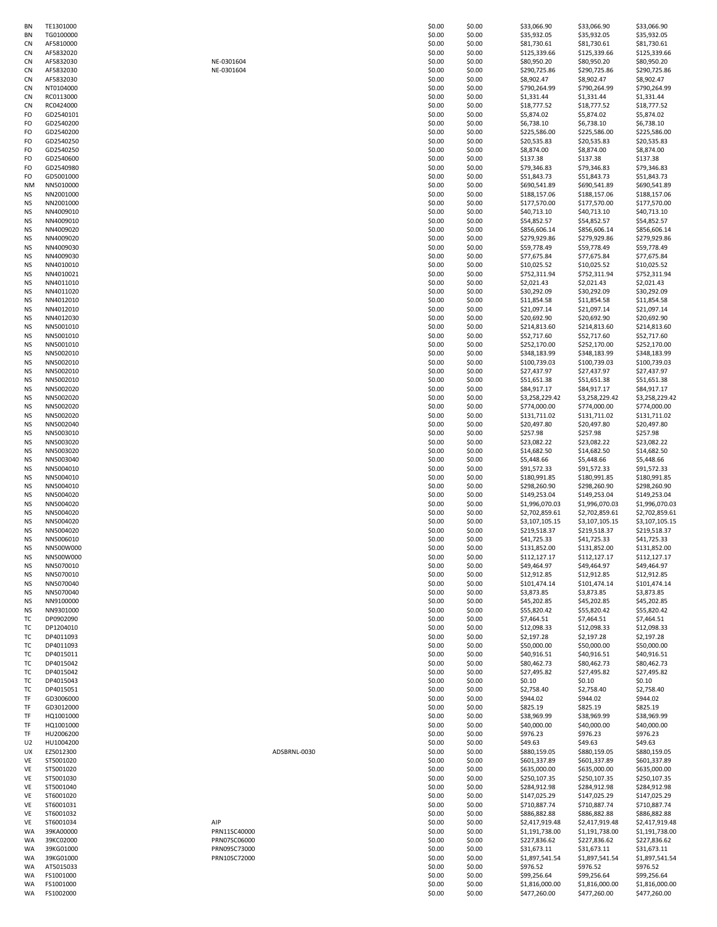| BN              | TE1301000              |
|-----------------|------------------------|
| BN              | TG0100000              |
| CN              | AF5810000              |
| CN              | AF5832020              |
| C<br>'N         | AF5832030              |
| CN              | AF5832030              |
| C<br>'N         | AF5832030              |
| CN              | NT0104000              |
| C<br>'N         | RC0113000              |
| CN              | RC0424000              |
| FO              | GD2540101              |
| FO              | GD2540200              |
| FO              | GD2540200              |
| FO<br>FO        | GD2540250<br>GD2540250 |
| FO              | GD2540600              |
| FO              | GD2540980              |
| FO              | GD5001000              |
| NΜ              | NN5010000              |
| NS              | NN2001000              |
| NS              | NN2001000              |
| ΝS              | NN4009010              |
| ΝS              | NN4009010              |
| ΝS              | NN4009020              |
| ΝS              | NN4009020              |
| ΝS              | NN4009030              |
| ΝS              | NN4009030              |
| ΝS              | NN4010010              |
| NS              | NN4010021              |
| <b>NS</b><br>NS | NN4011010              |
| ΝS              | NN4011020<br>NN4012010 |
| NS              | NN4012010              |
| <b>NS</b>       | NN4012030              |
| ΝS              | NN5001010              |
| NS              | NN5001010              |
| NS              | NN5001010              |
| ΝS              | NN5002010              |
| ΝS              | NN5002010              |
| NS              | NN5002010              |
| ΝS              | NN5002010              |
| ΝS              | NN5002020              |
| ΝS<br>NS        | NN5002020<br>NN5002020 |
| NS              | NN5002020              |
| ΝS              | NN5002040              |
| ΝS              | NN5003010              |
| ΝS              | NN5003020              |
| ΝS              | NN5003020              |
| ΝS              | NN5003040              |
| ΝS<br>NS        | NN5004010<br>NN5004010 |
| NS              | NN5004010              |
| NS              | NN5004020              |
| ΝS              | NN5004020              |
| ΝS              | NN5004020              |
| NS              | NN5004020              |
| NS              | NN5004020              |
| NS              | NN5006010              |
| NS<br>NS        | NN500W000<br>NN500W000 |
| NS              | NN5070010              |
| NS              | NN5070010              |
| NS              | NN5070040              |
| ΝS              | NN5070040              |
| ΝS              | NN9100000              |
| NS              | NN9301000              |
| ТC<br>т         | DP0902090<br>DP1204010 |
| т               | DP4011093              |
| T               | DP4011093              |
| ΤC              | DP4015011              |
| T               | DP4015042              |
| т               | DP4015042              |
| T               | DP4015043              |
| т               | DP4015051              |
| TF              | GD3006000              |
| TF              | GD3012000              |
| TF<br>TF        | HQ1001000<br>HQ1001000 |
| TF              | HU2006200              |
| U <sub>2</sub>  | HU1004200              |
| UX              | EZ5012300              |
| VE              | ST5001020              |
| VE              | ST5001020              |
| VE              | ST5001030              |
| VE<br>VE        | ST5001040<br>ST6001020 |
| VE              | ST6001031              |
| VE              |                        |
|                 | ST6001032              |
| VE              | ST6001034              |
| WA              | 39KA00000              |
| WA              | 39KC02000              |
| WA              | 39KG01000              |
| WA              | 39KG01000              |
| WA              | AT5015033              |
| WA<br>WA        | FS1001000<br>FS1001000 |

| ΒN | TE1301000 |              | \$0.00 | \$0.00 | \$33,066.90    | \$33,066.90    | \$33,066.90    |
|----|-----------|--------------|--------|--------|----------------|----------------|----------------|
| ΒN | TG0100000 |              | \$0.00 | \$0.00 | \$35,932.05    | \$35,932.05    | \$35,932.05    |
| СN | AF5810000 |              | \$0.00 | \$0.00 | \$81,730.61    | \$81,730.61    | \$81,730.61    |
|    | AF5832020 |              |        |        |                |                |                |
| СN |           |              | \$0.00 | \$0.00 | \$125,339.66   | \$125,339.66   | \$125,339.66   |
| СN | AF5832030 | NE-0301604   | \$0.00 | \$0.00 | \$80,950.20    | \$80,950.20    | \$80,950.20    |
| СN | AF5832030 | NE-0301604   | \$0.00 | \$0.00 | \$290,725.86   | \$290,725.86   | \$290,725.86   |
| СN | AF5832030 |              | \$0.00 | \$0.00 | \$8,902.47     | \$8,902.47     | \$8,902.47     |
| СN | NT0104000 |              | \$0.00 | \$0.00 | \$790,264.99   | \$790,264.99   | \$790,264.99   |
| СN | RC0113000 |              | \$0.00 | \$0.00 | \$1,331.44     | \$1,331.44     | \$1,331.44     |
|    |           |              |        |        |                |                |                |
| СN | RC0424000 |              | \$0.00 | \$0.00 | \$18,777.52    | \$18,777.52    | \$18,777.52    |
| FO | GD2540101 |              | \$0.00 | \$0.00 | \$5,874.02     | \$5,874.02     | \$5,874.02     |
| FO | GD2540200 |              | \$0.00 | \$0.00 | \$6,738.10     | \$6,738.10     | \$6,738.10     |
|    | GD2540200 |              | \$0.00 | \$0.00 |                |                | \$225,586.00   |
| FO |           |              |        |        | \$225,586.00   | \$225,586.00   |                |
| FO | GD2540250 |              | \$0.00 | \$0.00 | \$20,535.83    | \$20,535.83    | \$20,535.83    |
| FO | GD2540250 |              | \$0.00 | \$0.00 | \$8,874.00     | \$8,874.00     | \$8,874.00     |
| FO | GD2540600 |              | \$0.00 | \$0.00 | \$137.38       | \$137.38       | \$137.38       |
| FO | GD2540980 |              | \$0.00 | \$0.00 | \$79,346.83    | \$79,346.83    | \$79,346.83    |
|    |           |              |        |        |                |                |                |
| FO | GD5001000 |              | \$0.00 | \$0.00 | \$51,843.73    | \$51,843.73    | \$51,843.73    |
| NΜ | NN5010000 |              | \$0.00 | \$0.00 | \$690,541.89   | \$690,541.89   | \$690,541.89   |
| ΝS | NN2001000 |              | \$0.00 | \$0.00 | \$188,157.06   | \$188,157.06   | \$188,157.06   |
| ΝS | NN2001000 |              | \$0.00 | \$0.00 | \$177,570.00   | \$177,570.00   | \$177,570.00   |
|    |           |              |        |        |                |                |                |
| ΝS | NN4009010 |              | \$0.00 | \$0.00 | \$40,713.10    | \$40,713.10    | \$40,713.10    |
| ΝS | NN4009010 |              | \$0.00 | \$0.00 | \$54,852.57    | \$54,852.57    | \$54,852.57    |
| ΝS | NN4009020 |              | \$0.00 | \$0.00 | \$856,606.14   | \$856,606.14   | \$856,606.14   |
| ΝS | NN4009020 |              | \$0.00 | \$0.00 | \$279,929.86   | \$279,929.86   | \$279,929.86   |
| ΝS | NN4009030 |              | \$0.00 | \$0.00 | \$59,778.49    | \$59,778.49    | \$59,778.49    |
|    |           |              |        |        | \$77,675.84    |                |                |
| ΝS | NN4009030 |              | \$0.00 | \$0.00 |                | \$77,675.84    | \$77,675.84    |
| ΝS | NN4010010 |              | \$0.00 | \$0.00 | \$10,025.52    | \$10,025.52    | \$10,025.52    |
| ΝS | NN4010021 |              | \$0.00 | \$0.00 | \$752,311.94   | \$752,311.94   | \$752,311.94   |
| ΝS | NN4011010 |              | \$0.00 | \$0.00 | \$2,021.43     | \$2,021.43     | \$2,021.43     |
| ΝS | NN4011020 |              | \$0.00 | \$0.00 | \$30,292.09    | \$30,292.09    | \$30,292.09    |
|    |           |              |        |        |                |                |                |
| ΝS | NN4012010 |              | \$0.00 | \$0.00 | \$11,854.58    | \$11,854.58    | \$11,854.58    |
| ΝS | NN4012010 |              | \$0.00 | \$0.00 | \$21,097.14    | \$21,097.14    | \$21,097.14    |
| ΝS | NN4012030 |              | \$0.00 | \$0.00 | \$20,692.90    | \$20,692.90    | \$20,692.90    |
| ΝS | NN5001010 |              | \$0.00 | \$0.00 | \$214,813.60   | \$214,813.60   | \$214,813.60   |
| ΝS | NN5001010 |              | \$0.00 | \$0.00 | \$52,717.60    | \$52,717.60    | \$52,717.60    |
|    |           |              |        |        |                |                |                |
| ΝS | NN5001010 |              | \$0.00 | \$0.00 | \$252,170.00   | \$252,170.00   | \$252,170.00   |
| ΝS | NN5002010 |              | \$0.00 | \$0.00 | \$348,183.99   | \$348,183.99   | \$348,183.99   |
| ΝS | NN5002010 |              | \$0.00 | \$0.00 | \$100,739.03   | \$100,739.03   | \$100,739.03   |
| NS | NN5002010 |              | \$0.00 | \$0.00 | \$27,437.97    | \$27,437.97    | \$27,437.97    |
|    |           |              |        |        |                |                |                |
| NS | NN5002010 |              | \$0.00 | \$0.00 | \$51,651.38    | \$51,651.38    | \$51,651.38    |
| NS | NN5002020 |              | \$0.00 | \$0.00 | \$84,917.17    | \$84,917.17    | \$84,917.17    |
| NS | NN5002020 |              | \$0.00 | \$0.00 | \$3,258,229.42 | \$3,258,229.42 | \$3,258,229.42 |
| NS | NN5002020 |              | \$0.00 | \$0.00 | \$774,000.00   | \$774,000.00   | \$774,000.00   |
| NS | NN5002020 |              | \$0.00 | \$0.00 | \$131,711.02   | \$131,711.02   | \$131,711.02   |
|    |           |              |        |        |                |                |                |
| ΝS | NN5002040 |              | \$0.00 | \$0.00 | \$20,497.80    | \$20,497.80    | \$20,497.80    |
| ΝS | NN5003010 |              | \$0.00 | \$0.00 | \$257.98       | \$257.98       | \$257.98       |
| ΝS | NN5003020 |              | \$0.00 | \$0.00 | \$23,082.22    | \$23,082.22    | \$23,082.22    |
| ΝS | NN5003020 |              | \$0.00 | \$0.00 | \$14,682.50    | \$14,682.50    | \$14,682.50    |
| ΝS | NN5003040 |              | \$0.00 | \$0.00 | \$5,448.66     | \$5,448.66     | \$5,448.66     |
|    |           |              |        |        |                |                |                |
| ΝS | NN5004010 |              | \$0.00 | \$0.00 | \$91,572.33    | \$91,572.33    | \$91,572.33    |
| ΝS | NN5004010 |              | \$0.00 | \$0.00 | \$180,991.85   | \$180,991.85   | \$180,991.85   |
| ΝS | NN5004010 |              | \$0.00 | \$0.00 | \$298,260.90   | \$298,260.90   | \$298,260.90   |
| ΝS | NN5004020 |              | \$0.00 | \$0.00 | \$149,253.04   | \$149,253.04   | \$149,253.04   |
| ΝS | NN5004020 |              | \$0.00 | \$0.00 | \$1,996,070.03 | \$1,996,070.03 | \$1,996,070.03 |
|    |           |              |        |        |                |                |                |
| ΝS | NN5004020 |              | \$0.00 | \$0.00 | \$2,702,859.61 | \$2,702,859.61 | \$2,702,859.61 |
| ΝS | NN5004020 |              | \$0.00 | \$0.00 | \$3,107,105.15 | \$3,107,105.15 | \$3,107,105.15 |
| ΝS | NN5004020 |              | \$0.00 | \$0.00 | \$219,518.37   | \$219,518.37   | \$219,518.37   |
| ΝS | NN5006010 |              | \$0.00 | \$0.00 | \$41,725.33    | \$41,725.33    | \$41,725.33    |
| ΝS | NN500W000 |              | \$0.00 | \$0.00 | \$131,852.00   | \$131,852.00   | \$131,852.00   |
|    |           |              |        |        |                |                |                |
| ΝS | NN500W000 |              | \$0.00 | \$0.00 | \$112,127.17   | \$112,127.17   | \$112,127.17   |
| ΝS | NN5070010 |              | \$0.00 | \$0.00 | \$49,464.97    | \$49,464.97    | \$49,464.97    |
| ΝS | NN5070010 |              | \$0.00 | \$0.00 | \$12,912.85    | \$12,912.85    | \$12,912.85    |
| NS | NN5070040 |              | \$0.00 | \$0.00 | \$101,474.14   | \$101,474.14   | \$101,474.14   |
| ΝS | NN5070040 |              | \$0.00 | \$0.00 | \$3,873.85     | \$3,873.85     | \$3,873.85     |
|    |           |              |        |        |                |                |                |
| NS | NN9100000 |              | \$0.00 | \$0.00 | \$45,202.85    | \$45,202.85    | \$45,202.85    |
| NS | NN9301000 |              | \$0.00 | \$0.00 | \$55,820.42    | \$55,820.42    | \$55,820.42    |
| тс | DP0902090 |              | \$0.00 | \$0.00 | \$7,464.51     | \$7,464.51     | \$7,464.51     |
| ТC | DP1204010 |              | \$0.00 | \$0.00 | \$12,098.33    | \$12,098.33    | \$12,098.33    |
| тс | DP4011093 |              | \$0.00 | \$0.00 | \$2,197.28     | \$2,197.28     | \$2,197.28     |
| тс | DP4011093 |              | \$0.00 | \$0.00 | \$50,000.00    | \$50,000.00    | \$50,000.00    |
|    |           |              |        |        |                |                |                |
| тс | DP4015011 |              | \$0.00 | \$0.00 | \$40,916.51    | \$40,916.51    | \$40,916.51    |
| тс | DP4015042 |              | \$0.00 | \$0.00 | \$80,462.73    | \$80,462.73    | \$80,462.73    |
| тс | DP4015042 |              | \$0.00 | \$0.00 | \$27,495.82    | \$27,495.82    | \$27,495.82    |
| тс | DP4015043 |              | \$0.00 | \$0.00 | \$0.10         | \$0.10         | \$0.10         |
| ТC | DP4015051 |              | \$0.00 | \$0.00 | \$2,758.40     | \$2,758.40     | \$2,758.40     |
|    |           |              |        |        |                |                |                |
| TF | GD3006000 |              | \$0.00 | \$0.00 | \$944.02       | \$944.02       | \$944.02       |
| TF | GD3012000 |              | \$0.00 | \$0.00 | \$825.19       | \$825.19       | \$825.19       |
| TF | HQ1001000 |              | \$0.00 | \$0.00 | \$38,969.99    | \$38,969.99    | \$38,969.99    |
| TF | HQ1001000 |              | \$0.00 | \$0.00 | \$40,000.00    | \$40,000.00    | \$40,000.00    |
| TF | HU2006200 |              | \$0.00 | \$0.00 | \$976.23       | \$976.23       | \$976.23       |
|    |           |              |        |        |                |                |                |
| U2 | HU1004200 |              | \$0.00 | \$0.00 | \$49.63        | \$49.63        | \$49.63        |
| UX | EZ5012300 | ADSBRNL-0030 | \$0.00 | \$0.00 | \$880,159.05   | \$880,159.05   | \$880,159.05   |
| VE | ST5001020 |              | \$0.00 | \$0.00 | \$601,337.89   | \$601,337.89   | \$601,337.89   |
| VE | ST5001020 |              | \$0.00 | \$0.00 | \$635,000.00   | \$635,000.00   | \$635,000.00   |
|    |           |              |        |        |                |                |                |
| VE | ST5001030 |              | \$0.00 | \$0.00 | \$250,107.35   | \$250,107.35   | \$250,107.35   |
| VE | ST5001040 |              | \$0.00 | \$0.00 | \$284,912.98   | \$284,912.98   | \$284,912.98   |
| VE | ST6001020 |              | \$0.00 | \$0.00 | \$147,025.29   | \$147,025.29   | \$147,025.29   |
| VE | ST6001031 |              | \$0.00 | \$0.00 | \$710,887.74   | \$710,887.74   | \$710,887.74   |
|    | ST6001032 |              | \$0.00 | \$0.00 | \$886,882.88   | \$886,882.88   | \$886,882.88   |
| VE |           |              |        |        |                |                |                |
| VE | ST6001034 | AIP          | \$0.00 | \$0.00 | \$2,417,919.48 | \$2,417,919.48 | \$2,417,919.48 |
| WA | 39KA00000 | PRN11SC40000 | \$0.00 | \$0.00 | \$1,191,738.00 | \$1,191,738.00 | \$1,191,738.00 |
| WA | 39KC02000 | PRN07SC06000 | \$0.00 | \$0.00 | \$227,836.62   | \$227,836.62   | \$227,836.62   |
|    |           |              |        |        |                |                | \$31,673.11    |
| WA | 39KG01000 | PRN09SC73000 | \$0.00 | \$0.00 | \$31,673.11    | \$31,673.11    |                |
| WA | 39KG01000 | PRN10SC72000 | \$0.00 | \$0.00 | \$1,897,541.54 | \$1,897,541.54 | \$1,897,541.54 |
| WA | AT5015033 |              | \$0.00 | \$0.00 | \$976.52       | \$976.52       | \$976.52       |
| WA | FS1001000 |              | \$0.00 | \$0.00 | \$99,256.64    | \$99,256.64    | \$99,256.64    |
| WA | FS1001000 |              | \$0.00 | \$0.00 | \$1,816,000.00 | \$1,816,000.00 | \$1,816,000.00 |
| WA | FS1002000 |              | \$0.00 | \$0.00 | \$477,260.00   | \$477,260.00   | \$477,260.00   |
|    |           |              |        |        |                |                |                |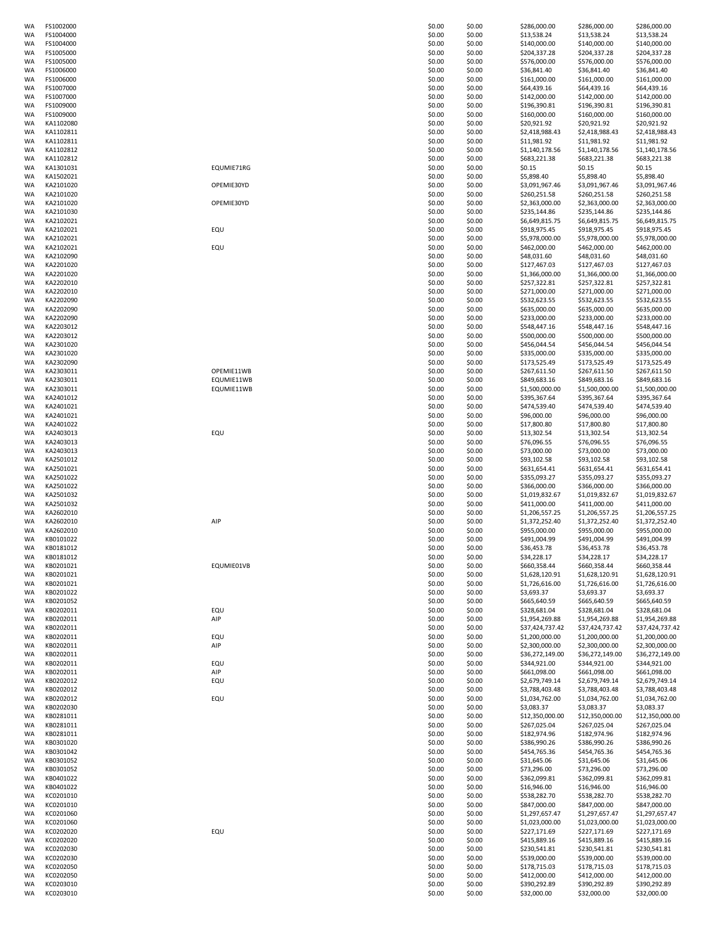| WA       | FS1002000 |            | \$0.00 | \$0.00 | \$286,000.00    | \$286,000.00    | \$286,000.00    |
|----------|-----------|------------|--------|--------|-----------------|-----------------|-----------------|
| WA       | FS1004000 |            | \$0.00 | \$0.00 | \$13,538.24     | \$13,538.24     | \$13,538.24     |
| WA       | FS1004000 |            | \$0.00 | \$0.00 | \$140,000.00    | \$140,000.00    | \$140,000.00    |
| WA       | FS1005000 |            | \$0.00 | \$0.00 | \$204,337.28    | \$204,337.28    | \$204,337.28    |
| WA       | FS1005000 |            | \$0.00 | \$0.00 | \$576,000.00    | \$576,000.00    | \$576,000.00    |
| WA       | FS1006000 |            | \$0.00 | \$0.00 | \$36,841.40     | \$36,841.40     | \$36,841.40     |
| WA       | FS1006000 |            | \$0.00 | \$0.00 | \$161,000.00    | \$161,000.00    | \$161,000.00    |
| WA       | FS1007000 |            | \$0.00 | \$0.00 | \$64,439.16     | \$64,439.16     | \$64,439.16     |
| WA       | FS1007000 |            | \$0.00 | \$0.00 | \$142,000.00    | \$142,000.00    | \$142,000.00    |
|          | FS1009000 |            | \$0.00 | \$0.00 |                 | \$196,390.81    | \$196,390.81    |
| WA       |           |            |        |        | \$196,390.81    |                 |                 |
| WA       | FS1009000 |            | \$0.00 | \$0.00 | \$160,000.00    | \$160,000.00    | \$160,000.00    |
| WA       | KA1102080 |            | \$0.00 | \$0.00 | \$20,921.92     | \$20,921.92     | \$20,921.92     |
| WA       | KA1102811 |            | \$0.00 | \$0.00 | \$2,418,988.43  | \$2,418,988.43  | \$2,418,988.43  |
| WA       | KA1102811 |            | \$0.00 | \$0.00 | \$11,981.92     | \$11,981.92     | \$11,981.92     |
| WA       | KA1102812 |            | \$0.00 | \$0.00 | \$1,140,178.56  | \$1,140,178.56  | \$1,140,178.56  |
| WA       | KA1102812 |            | \$0.00 | \$0.00 | \$683,221.38    | \$683,221.38    | \$683,221.38    |
| WA       | KA1301031 | EQUMIE71RG | \$0.00 | \$0.00 | \$0.15          | \$0.15          | \$0.15          |
| WA       | KA1502021 |            | \$0.00 | \$0.00 | \$5,898.40      | \$5,898.40      | \$5,898.40      |
| WA       | KA2101020 | OPEMIE30YD | \$0.00 | \$0.00 | \$3,091,967.46  | \$3,091,967.46  | \$3,091,967.46  |
| WA       | KA2101020 |            | \$0.00 | \$0.00 | \$260,251.58    | \$260,251.58    | \$260,251.58    |
| WA       | KA2101020 | OPEMIE30YD | \$0.00 | \$0.00 | \$2,363,000.00  | \$2,363,000.00  | \$2,363,000.00  |
| WA       | KA2101030 |            | \$0.00 | \$0.00 | \$235,144.86    | \$235,144.86    | \$235,144.86    |
| WA       | KA2102021 |            | \$0.00 | \$0.00 | \$6,649,815.75  | \$6,649,815.75  | \$6,649,815.75  |
| WA       | KA2102021 |            | \$0.00 | \$0.00 | \$918,975.45    |                 |                 |
|          |           | EQU        |        |        |                 | \$918,975.45    | \$918,975.45    |
| WA       | KA2102021 |            | \$0.00 | \$0.00 | \$5,978,000.00  | \$5,978,000.00  | \$5,978,000.00  |
| WA       | KA2102021 | EQU        | \$0.00 | \$0.00 | \$462,000.00    | \$462,000.00    | \$462,000.00    |
| WA       | KA2102090 |            | \$0.00 | \$0.00 | \$48,031.60     | \$48,031.60     | \$48,031.60     |
| WA       | KA2201020 |            | \$0.00 | \$0.00 | \$127,467.03    | \$127,467.03    | \$127,467.03    |
| WA       | KA2201020 |            | \$0.00 | \$0.00 | \$1,366,000.00  | \$1,366,000.00  | \$1,366,000.00  |
| WA       | KA2202010 |            | \$0.00 | \$0.00 | \$257,322.81    | \$257,322.81    | \$257,322.81    |
| WA       | KA2202010 |            | \$0.00 | \$0.00 | \$271,000.00    | \$271,000.00    | \$271,000.00    |
| WA       | KA2202090 |            | \$0.00 | \$0.00 | \$532,623.55    | \$532,623.55    | \$532,623.55    |
| WA       | KA2202090 |            | \$0.00 | \$0.00 | \$635,000.00    | \$635,000.00    | \$635,000.00    |
| WA       | KA2202090 |            | \$0.00 | \$0.00 | \$233,000.00    | \$233,000.00    | \$233,000.00    |
| WA       | KA2203012 |            | \$0.00 | \$0.00 | \$548,447.16    | \$548,447.16    | \$548,447.16    |
| WA       | KA2203012 |            | \$0.00 | \$0.00 | \$500,000.00    | \$500,000.00    | \$500,000.00    |
| WA       | KA2301020 |            | \$0.00 | \$0.00 | \$456,044.54    | \$456,044.54    | \$456,044.54    |
| WA       | KA2301020 |            | \$0.00 | \$0.00 | \$335,000.00    | \$335,000.00    | \$335,000.00    |
|          | KA2302090 |            | \$0.00 | \$0.00 | \$173,525.49    |                 | \$173,525.49    |
| WA       |           |            |        |        |                 | \$173,525.49    |                 |
| WA       | KA2303011 | OPEMIE11WB | \$0.00 | \$0.00 | \$267,611.50    | \$267,611.50    | \$267,611.50    |
| WA       | KA2303011 | EQUMIE11WB | \$0.00 | \$0.00 | \$849,683.16    | \$849,683.16    | \$849,683.16    |
| WA       | KA2303011 | EQUMIE11WB | \$0.00 | \$0.00 | \$1,500,000.00  | \$1,500,000.00  | \$1,500,000.00  |
| WA       | KA2401012 |            | \$0.00 | \$0.00 | \$395,367.64    | \$395,367.64    | \$395,367.64    |
| WA       | KA2401021 |            | \$0.00 | \$0.00 | \$474,539.40    | \$474,539.40    | \$474,539.40    |
| WA       | KA2401021 |            | \$0.00 | \$0.00 | \$96,000.00     | \$96,000.00     | \$96,000.00     |
| WA       | KA2401022 |            | \$0.00 | \$0.00 | \$17,800.80     | \$17,800.80     | \$17,800.80     |
| WA       | KA2403013 | EQU        | \$0.00 | \$0.00 | \$13,302.54     | \$13,302.54     | \$13,302.54     |
| WA       | KA2403013 |            | \$0.00 | \$0.00 | \$76,096.55     | \$76,096.55     | \$76,096.55     |
| WA       | KA2403013 |            | \$0.00 | \$0.00 | \$73,000.00     | \$73,000.00     | \$73,000.00     |
| WA       | KA2501012 |            | \$0.00 | \$0.00 | \$93,102.58     | \$93,102.58     | \$93,102.58     |
| WA       | KA2501021 |            | \$0.00 | \$0.00 | \$631,654.41    | \$631,654.41    | \$631,654.41    |
| WA       | KA2501022 |            | \$0.00 | \$0.00 | \$355,093.27    | \$355,093.27    | \$355,093.27    |
|          |           |            |        |        | \$366,000.00    |                 |                 |
| WA       | KA2501022 |            | \$0.00 | \$0.00 |                 | \$366,000.00    | \$366,000.00    |
| WA       | KA2501032 |            | \$0.00 | \$0.00 | \$1,019,832.67  | \$1,019,832.67  | \$1,019,832.67  |
| WA       | KA2501032 |            | \$0.00 | \$0.00 | \$411,000.00    | \$411,000.00    | \$411,000.00    |
| WA       | KA2602010 |            | \$0.00 | \$0.00 | \$1,206,557.25  | \$1,206,557.25  | \$1,206,557.25  |
| WA       | KA2602010 | AIP        | \$0.00 | \$0.00 | \$1,372,252.40  | \$1,372,252.40  | \$1,372,252.40  |
| WA       | KA2602010 |            | \$0.00 | \$0.00 | \$955,000.00    | \$955,000.00    | \$955,000.00    |
| WA       | KB0101022 |            | \$0.00 | \$0.00 | \$491,004.99    | \$491,004.99    | \$491,004.99    |
| WA       | KB0181012 |            | \$0.00 | \$0.00 | \$36,453.78     | \$36,453.78     | \$36,453.78     |
| WA       | KB0181012 |            | \$0.00 | \$0.00 | \$34,228.17     | \$34,228.17     | \$34,228.17     |
| WA       | KB0201021 | EQUMIE01VB | \$0.00 | \$0.00 | \$660,358.44    | \$660,358.44    | \$660,358.44    |
| WA       | KB0201021 |            | \$0.00 | \$0.00 | \$1,628,120.91  | \$1,628,120.91  | \$1,628,120.91  |
| WA       | KB0201021 |            | \$0.00 | \$0.00 | \$1,726,616.00  | \$1,726,616.00  | \$1,726,616.00  |
| WA       | KB0201022 |            | \$0.00 | \$0.00 | \$3,693.37      | \$3,693.37      | \$3,693.37      |
| WA       | KB0201052 |            | \$0.00 | \$0.00 | \$665,640.59    | \$665,640.59    | \$665,640.59    |
| WA       | KB0202011 | EQU        | \$0.00 | \$0.00 | \$328,681.04    | \$328,681.04    | \$328,681.04    |
| WA       | KB0202011 | AIP        | \$0.00 | \$0.00 | \$1,954,269.88  | \$1,954,269.88  | \$1,954,269.88  |
| WA       | KB0202011 |            | \$0.00 | \$0.00 | \$37,424,737.42 | \$37,424,737.42 | \$37,424,737.42 |
| WA       | KB0202011 | EQU        | \$0.00 | \$0.00 | \$1,200,000.00  |                 | \$1,200,000.00  |
|          | KB0202011 |            |        |        | \$2,300,000.00  | \$1,200,000.00  |                 |
| WA<br>WA |           | AIP        | \$0.00 | \$0.00 |                 | \$2,300,000.00  | \$2,300,000.00  |
|          | KB0202011 |            | \$0.00 | \$0.00 | \$36,272,149.00 | \$36,272,149.00 | \$36,272,149.00 |
| WA       | KB0202011 | EQU        | \$0.00 | \$0.00 | \$344,921.00    | \$344,921.00    | \$344,921.00    |
| WA       | KB0202011 | AIP        | \$0.00 | \$0.00 | \$661,098.00    | \$661,098.00    | \$661,098.00    |
| WA       | KB0202012 | EQU        | \$0.00 | \$0.00 | \$2,679,749.14  | \$2,679,749.14  | \$2,679,749.14  |
| WA       | KB0202012 |            | \$0.00 | \$0.00 | \$3,788,403.48  | \$3,788,403.48  | \$3,788,403.48  |
| WA       | KB0202012 | EQU        | \$0.00 | \$0.00 | \$1,034,762.00  | \$1,034,762.00  | \$1,034,762.00  |
| WA       | KB0202030 |            | \$0.00 | \$0.00 | \$3,083.37      | \$3,083.37      | \$3,083.37      |
| WA       | KB0281011 |            | \$0.00 | \$0.00 | \$12,350,000.00 | \$12,350,000.00 | \$12,350,000.00 |
| WA       | KB0281011 |            | \$0.00 | \$0.00 | \$267,025.04    | \$267,025.04    | \$267,025.04    |
| WA       | KB0281011 |            | \$0.00 | \$0.00 | \$182,974.96    | \$182,974.96    | \$182,974.96    |
| WA       | KB0301020 |            | \$0.00 | \$0.00 | \$386,990.26    | \$386,990.26    | \$386,990.26    |
| WA       | KB0301042 |            | \$0.00 | \$0.00 | \$454,765.36    | \$454,765.36    | \$454,765.36    |
| WA       | KB0301052 |            | \$0.00 | \$0.00 | \$31,645.06     | \$31,645.06     | \$31,645.06     |
| WA       | KB0301052 |            | \$0.00 | \$0.00 | \$73,296.00     | \$73,296.00     | \$73,296.00     |
| WA       | KB0401022 |            | \$0.00 | \$0.00 | \$362,099.81    | \$362,099.81    | \$362,099.81    |
| WA       | KB0401022 |            | \$0.00 | \$0.00 | \$16,946.00     | \$16,946.00     | \$16,946.00     |
| WA       | KC0201010 |            | \$0.00 | \$0.00 | \$538,282.70    | \$538,282.70    | \$538,282.70    |
| WA       | KC0201010 |            | \$0.00 | \$0.00 | \$847,000.00    | \$847,000.00    | \$847,000.00    |
| WA       | KC0201060 |            | \$0.00 | \$0.00 | \$1,297,657.47  | \$1,297,657.47  | \$1,297,657.47  |
| WA       | KC0201060 |            | \$0.00 | \$0.00 |                 |                 | \$1,023,000.00  |
|          |           |            |        |        | \$1,023,000.00  | \$1,023,000.00  |                 |
| WA       | KC0202020 | EQU        | \$0.00 | \$0.00 | \$227,171.69    | \$227,171.69    | \$227,171.69    |
| WA       | KC0202020 |            | \$0.00 | \$0.00 | \$415,889.16    | \$415,889.16    | \$415,889.16    |
| WA       | KC0202030 |            | \$0.00 | \$0.00 | \$230,541.81    | \$230,541.81    | \$230,541.81    |
| WA       | KC0202030 |            | \$0.00 | \$0.00 | \$539,000.00    | \$539,000.00    | \$539,000.00    |
| WA       | KC0202050 |            | \$0.00 | \$0.00 | \$178,715.03    | \$178,715.03    | \$178,715.03    |
| WA       | KC0202050 |            | \$0.00 | \$0.00 | \$412,000.00    | \$412,000.00    | \$412,000.00    |
| WA       | KC0203010 |            | \$0.00 | \$0.00 | \$390,292.89    | \$390,292.89    | \$390,292.89    |
|          | KC0203010 |            | \$0.00 | \$0.00 | \$32,000.00     | \$32,000.00     | \$32,000.00     |